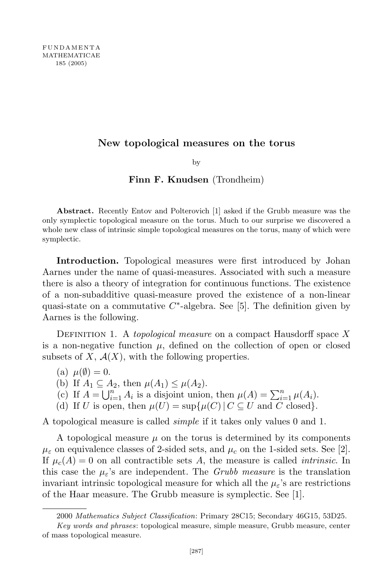## New topological measures on the torus

by

## Finn F. Knudsen (Trondheim)

Abstract. Recently Entov and Polterovich [1] asked if the Grubb measure was the only symplectic topological measure on the torus. Much to our surprise we discovered a whole new class of intrinsic simple topological measures on the torus, many of which were symplectic.

Introduction. Topological measures were first introduced by Johan Aarnes under the name of quasi-measures. Associated with such a measure there is also a theory of integration for continuous functions. The existence of a non-subadditive quasi-measure proved the existence of a non-linear quasi-state on a commutative  $C^*$ -algebra. See [5]. The definition given by Aarnes is the following.

DEFINITION 1. A topological measure on a compact Hausdorff space  $X$ is a non-negative function  $\mu$ , defined on the collection of open or closed subsets of  $X$ ,  $\mathcal{A}(X)$ , with the following properties.

(a)  $\mu(\emptyset) = 0$ .

(b) If  $A_1 \subseteq A_2$ , then  $\mu(A_1) \leq \mu(A_2)$ .

- (c) If  $A = \bigcup_{i=1}^{n} A_i$  is a disjoint union, then  $\mu(A) = \sum_{i=1}^{n} \mu(A_i)$ .
- (d) If U is open, then  $\mu(U) = \sup \{ \mu(C) | C \subseteq U \text{ and } C \text{ closed} \}.$

A topological measure is called *simple* if it takes only values 0 and 1.

A topological measure  $\mu$  on the torus is determined by its components  $\mu_{\varepsilon}$  on equivalence classes of 2-sided sets, and  $\mu_{c}$  on the 1-sided sets. See [2]. If  $\mu_c(A) = 0$  on all contractible sets A, the measure is called *intrinsic*. In this case the  $\mu_{\varepsilon}$ 's are independent. The *Grubb measure* is the translation invariant intrinsic topological measure for which all the  $\mu_{\varepsilon}$ 's are restrictions of the Haar measure. The Grubb measure is symplectic. See [1].

<sup>2000</sup> Mathematics Subject Classification: Primary 28C15; Secondary 46G15, 53D25.

Key words and phrases: topological measure, simple measure, Grubb measure, center of mass topological measure.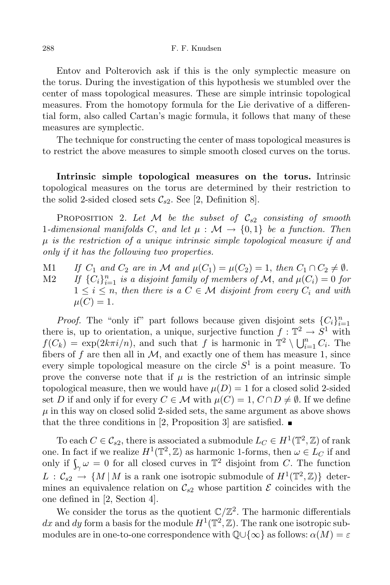Entov and Polterovich ask if this is the only symplectic measure on the torus. During the investigation of this hypothesis we stumbled over the center of mass topological measures. These are simple intrinsic topological measures. From the homotopy formula for the Lie derivative of a differential form, also called Cartan's magic formula, it follows that many of these measures are symplectic.

The technique for constructing the center of mass topological measures is to restrict the above measures to simple smooth closed curves on the torus.

Intrinsic simple topological measures on the torus. Intrinsic topological measures on the torus are determined by their restriction to the solid 2-sided closed sets  $\mathcal{C}_{s2}$ . See [2, Definition 8].

PROPOSITION 2. Let M be the subset of  $\mathcal{C}_{s2}$  consisting of smooth 1-dimensional manifolds C, and let  $\mu : \mathcal{M} \to \{0,1\}$  be a function. Then  $\mu$  is the restriction of a unique intrinsic simple topological measure if and only if it has the following two properties.

M1 If  $C_1$  and  $C_2$  are in M and  $\mu(C_1) = \mu(C_2) = 1$ , then  $C_1 \cap C_2 \neq \emptyset$ . M2 If  $\{C_i\}_{i=1}^n$  is a disjoint family of members of M, and  $\mu(C_i) = 0$  for  $1 \leq i \leq n$ , then there is a  $C \in \mathcal{M}$  disjoint from every  $C_i$  and with  $\mu(C) = 1.$ 

*Proof.* The "only if" part follows because given disjoint sets  ${C_i}_{i=1}^n$ there is, up to orientation, a unique, surjective function  $f: \mathbb{T}^2 \to S^1$  with  $f(C_k) = \exp(2k\pi i/n)$ , and such that f is harmonic in  $\mathbb{T}^2 \setminus \bigcup_{i=1}^n C_i$ . The fibers of f are then all in  $\mathcal{M}$ , and exactly one of them has measure 1, since every simple topological measure on the circle  $S<sup>1</sup>$  is a point measure. To prove the converse note that if  $\mu$  is the restriction of an intrinsic simple topological measure, then we would have  $\mu(D) = 1$  for a closed solid 2-sided set D if and only if for every  $C \in \mathcal{M}$  with  $\mu(C) = 1$ ,  $C \cap D \neq \emptyset$ . If we define  $\mu$  in this way on closed solid 2-sided sets, the same argument as above shows that the three conditions in [2, Proposition 3] are satisfied.  $\blacksquare$ 

To each  $C \in \mathcal{C}_{s2}$ , there is associated a submodule  $L_C \in H^1(\mathbb{T}^2, \mathbb{Z})$  of rank one. In fact if we realize  $H^1(\mathbb{T}^2, \mathbb{Z})$  as harmonic 1-forms, then  $\omega \in L_C$  if and only if  $\int_{\gamma} \omega = 0$  for all closed curves in  $\mathbb{T}^2$  disjoint from C. The function  $L : \mathcal{C}_{s2} \to \{M \, | \, M \text{ is a rank one isotropic submodule of } H^1(\mathbb{T}^2, \mathbb{Z})\}$  determines an equivalence relation on  $\mathcal{C}_{s2}$  whose partition  $\mathcal E$  coincides with the one defined in [2, Section 4].

We consider the torus as the quotient  $\mathbb{C}/\mathbb{Z}^2$ . The harmonic differentials dx and dy form a basis for the module  $H^1(\mathbb{T}^2, \mathbb{Z})$ . The rank one isotropic submodules are in one-to-one correspondence with  $\mathbb{Q}\cup\{\infty\}$  as follows:  $\alpha(M)=\varepsilon$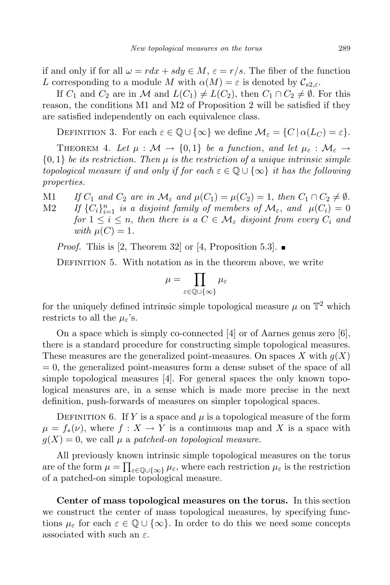if and only if for all  $\omega = r dx + s dy \in M$ ,  $\varepsilon = r/s$ . The fiber of the function L corresponding to a module M with  $\alpha(M) = \varepsilon$  is denoted by  $\mathcal{C}_{s2,\varepsilon}$ .

If  $C_1$  and  $C_2$  are in M and  $L(C_1) \neq L(C_2)$ , then  $C_1 \cap C_2 \neq \emptyset$ . For this reason, the conditions M1 and M2 of Proposition 2 will be satisfied if they are satisfied independently on each equivalence class.

DEFINITION 3. For each  $\varepsilon \in \mathbb{Q} \cup \{\infty\}$  we define  $\mathcal{M}_{\varepsilon} = \{C \mid \alpha(L_C) = \varepsilon\}.$ 

THEOREM 4. Let  $\mu : \mathcal{M} \to \{0,1\}$  be a function, and let  $\mu_{\varepsilon} : \mathcal{M}_{\varepsilon} \to$  ${0, 1}$  be its restriction. Then  $\mu$  is the restriction of a unique intrinsic simple topological measure if and only if for each  $\varepsilon \in \mathbb{Q} \cup \{\infty\}$  it has the following properties.

M1 If  $C_1$  and  $C_2$  are in  $\mathcal{M}_{\varepsilon}$  and  $\mu(C_1) = \mu(C_2) = 1$ , then  $C_1 \cap C_2 \neq \emptyset$ . M2 If  ${C_i}_{i=1}^n$  is a disjoint family of members of  $\mathcal{M}_{\varepsilon}$ , and  $\mu(C_i) = 0$ 

for  $1 \leq i \leq n$ , then there is a  $C \in \mathcal{M}_{\varepsilon}$  disjoint from every  $C_i$  and with  $\mu(C) = 1$ .

*Proof.* This is [2, Theorem 32] or [4, Proposition 5.3].

DEFINITION 5. With notation as in the theorem above, we write

$$
\mu = \prod_{\varepsilon \in \mathbb{Q} \cup \{\infty\}} \mu_{\varepsilon}
$$

for the uniquely defined intrinsic simple topological measure  $\mu$  on  $\mathbb{T}^2$  which restricts to all the  $\mu_{\varepsilon}$ 's.

On a space which is simply co-connected  $[4]$  or of Aarnes genus zero  $[6]$ , there is a standard procedure for constructing simple topological measures. These measures are the generalized point-measures. On spaces X with  $q(X)$  $= 0$ , the generalized point-measures form a dense subset of the space of all simple topological measures [4]. For general spaces the only known topological measures are, in a sense which is made more precise in the next definition, push-forwards of measures on simpler topological spaces.

DEFINITION 6. If Y is a space and  $\mu$  is a topological measure of the form  $\mu = f_*(\nu)$ , where  $f: X \to Y$  is a continuous map and X is a space with  $g(X) = 0$ , we call  $\mu$  a patched-on topological measure.

All previously known intrinsic simple topological measures on the torus are of the form  $\mu = \prod_{\varepsilon \in \mathbb{Q} \cup \{\infty\}} \mu_{\varepsilon}$ , where each restriction  $\mu_{\varepsilon}$  is the restriction of a patched-on simple topological measure.

Center of mass topological measures on the torus. In this section we construct the center of mass topological measures, by specifying functions  $\mu_{\varepsilon}$  for each  $\varepsilon \in \mathbb{Q} \cup \{\infty\}$ . In order to do this we need some concepts associated with such an  $\varepsilon$ .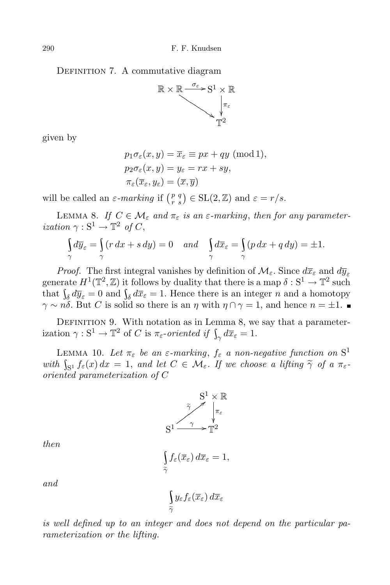DEFINITION 7. A commutative diagram



given by

$$
p_1 \sigma_{\varepsilon}(x, y) = \overline{x}_{\varepsilon} \equiv px + qy \pmod{1},
$$
  
\n
$$
p_2 \sigma_{\varepsilon}(x, y) = y_{\varepsilon} = rx + sy,
$$
  
\n
$$
\pi_{\varepsilon}(\overline{x}_{\varepsilon}, y_{\varepsilon}) = (\overline{x}, \overline{y})
$$

will be called an  $\varepsilon$ -marking if  $\binom{p}{r-s} \in SL(2,\mathbb{Z})$  and  $\varepsilon = r/s$ .

LEMMA 8. If  $C \in \mathcal{M}_{\varepsilon}$  and  $\pi_{\varepsilon}$  is an  $\varepsilon$ -marking, then for any parameterization  $\gamma : S^1 \to \mathbb{T}^2$  of C,

$$
\int_{\gamma} d\overline{y}_{\varepsilon} = \int_{\gamma} (r dx + s dy) = 0 \quad and \quad \int_{\gamma} d\overline{x}_{\varepsilon} = \int_{\gamma} (p dx + q dy) = \pm 1.
$$

*Proof.* The first integral vanishes by definition of  $\mathcal{M}_{\varepsilon}$ . Since  $d\overline{x}_{\varepsilon}$  and  $d\overline{y}_{\varepsilon}$ generate  $H^1(\mathbb{T}^2, \mathbb{Z})$  it follows by duality that there is a map  $\delta : \mathbf{S}^1 \to \mathbb{T}^2$  such that  $\int_{\delta} d\overline{y}_{\varepsilon} = 0$  and  $\int_{\delta} d\overline{x}_{\varepsilon} = 1$ . Hence there is an integer *n* and a homotopy  $\gamma \sim n\delta$ . But C is solid so there is an  $\eta$  with  $\eta \cap \gamma = 1$ , and hence  $n = \pm 1$ .

DEFINITION 9. With notation as in Lemma 8, we say that a parameterization  $\gamma: \mathbb{S}^1 \to \mathbb{T}^2$  of C is  $\pi_{\varepsilon}$ -oriented if  $\int_{\gamma} d\overline{x}_{\varepsilon} = 1$ .

LEMMA 10. Let  $\pi_{\varepsilon}$  be an  $\varepsilon$ -marking,  $f_{\varepsilon}$  a non-negative function on  $S^1$ with  $\int_{S^1} f_{\varepsilon}(x) dx = 1$ , and let  $C \in \mathcal{M}_{\varepsilon}$ . If we choose a lifting  $\widetilde{\gamma}$  of a  $\pi_{\varepsilon}$ . oriented parameterization of C



then

$$
\int\limits_{\widetilde{\gamma}} f_{\varepsilon}(\overline{x}_{\varepsilon}) d\overline{x}_{\varepsilon} = 1,
$$

\

 $\widetilde{\gamma}$ 

and

is well defined up to an integer and does not depend on the particular parameterization or the lifting.

 $y_\varepsilon f_\varepsilon(\overline{x}_\varepsilon) \, d\overline{x}_\varepsilon$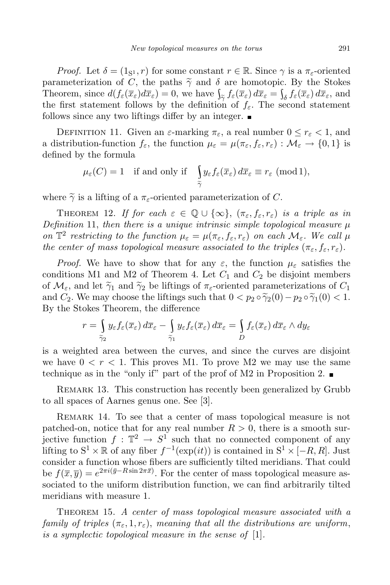*Proof.* Let  $\delta = (1_{S_1}, r)$  for some constant  $r \in \mathbb{R}$ . Since  $\gamma$  is a  $\pi_{\epsilon}$ -oriented parameterization of C, the paths  $\tilde{\gamma}$  and  $\delta$  are homotopic. By the Stokes Theorem, since  $d(f_{\varepsilon}(\overline{x}_{\varepsilon})d\overline{x}_{\varepsilon})=0$ , we have  $\int_{\widetilde{\gamma}} f_{\varepsilon}(\overline{x}_{\varepsilon}) d\overline{x}_{\varepsilon} = \int_{\delta} f_{\varepsilon}(\overline{x}_{\varepsilon}) d\overline{x}_{\varepsilon}$ , and Theorem, since  $u(f_{\varepsilon}(x_{\varepsilon})dx_{\varepsilon}) = 0$ , we have  $\frac{1}{2\gamma}f_{\varepsilon}(x_{\varepsilon})dx_{\varepsilon} = \frac{1}{2\delta}f_{\varepsilon}(x_{\varepsilon})dx_{\varepsilon}$ , and<br>the first statement follows by the definition of  $f_{\varepsilon}$ . The second statement follows since any two liftings differ by an integer.  $\blacksquare$ 

DEFINITION 11. Given an  $\varepsilon$ -marking  $\pi_{\varepsilon}$ , a real number  $0 \leq r_{\varepsilon} < 1$ , and a distribution-function  $f_{\varepsilon}$ , the function  $\mu_{\varepsilon} = \mu(\pi_{\varepsilon}, f_{\varepsilon}, r_{\varepsilon}) : \mathcal{M}_{\varepsilon} \to \{0, 1\}$  is defined by the formula

$$
\mu_{\varepsilon}(C) = 1
$$
 if and only if  $\int_{\tilde{\gamma}} y_{\varepsilon} f_{\varepsilon}(\overline{x}_{\varepsilon}) d\overline{x}_{\varepsilon} \equiv r_{\varepsilon} \pmod{1}$ ,

where  $\tilde{\gamma}$  is a lifting of a  $\pi_{\varepsilon}$ -oriented parameterization of C.

THEOREM 12. If for each  $\varepsilon \in \mathbb{Q} \cup \{\infty\}$ ,  $(\pi_{\varepsilon}, f_{\varepsilon}, r_{\varepsilon})$  is a triple as in Definition 11, then there is a unique intrinsic simple topological measure  $\mu$ on  $\mathbb{T}^2$  restricting to the function  $\mu_{\varepsilon} = \mu(\pi_{\varepsilon}, f_{\varepsilon}, r_{\varepsilon})$  on each  $\mathcal{M}_{\varepsilon}$ . We call  $\mu$ the center of mass topological measure associated to the triples  $(\pi_{\varepsilon}, f_{\varepsilon}, r_{\varepsilon}).$ 

*Proof.* We have to show that for any  $\varepsilon$ , the function  $\mu_{\varepsilon}$  satisfies the conditions M1 and M2 of Theorem 4. Let  $C_1$  and  $C_2$  be disjoint members of  $\mathcal{M}_{\varepsilon}$ , and let  $\tilde{\gamma}_1$  and  $\tilde{\gamma}_2$  be liftings of  $\pi_{\varepsilon}$ -oriented parameterizations of  $C_1$ and  $C_2$ . We may choose the liftings such that  $0 < p_2 \circ \tilde{\gamma}_2(0) - p_2 \circ \tilde{\gamma}_1(0) < 1$ . By the Stokes Theorem, the difference

$$
r = \int_{\widetilde{\gamma}_2} y_{\varepsilon} f_{\varepsilon}(\overline{x}_{\varepsilon}) d\overline{x}_{\varepsilon} - \int_{\widetilde{\gamma}_1} y_{\varepsilon} f_{\varepsilon}(\overline{x}_{\varepsilon}) d\overline{x}_{\varepsilon} = \int_{D} f_{\varepsilon}(\overline{x}_{\varepsilon}) d\overline{x}_{\varepsilon} \wedge dy_{\varepsilon}
$$

is a weighted area between the curves, and since the curves are disjoint we have  $0 < r < 1$ . This proves M1. To prove M2 we may use the same technique as in the "only if" part of the prof of M2 in Proposition 2.

Remark 13. This construction has recently been generalized by Grubb to all spaces of Aarnes genus one. See [3].

Remark 14. To see that a center of mass topological measure is not patched-on, notice that for any real number  $R > 0$ , there is a smooth surjective function  $f: \mathbb{T}^2 \to S^1$  such that no connected component of any lifting to  $S^1 \times \mathbb{R}$  of any fiber  $f^{-1}(\exp(it))$  is contained in  $S^1 \times [-R, R]$ . Just consider a function whose fibers are sufficiently tilted meridians. That could be  $f(\overline{x}, \overline{y}) = e^{2\pi i (\overline{y} - R\sin 2\pi \overline{x})}$ . For the center of mass topological measure associated to the uniform distribution function, we can find arbitrarily tilted meridians with measure 1.

THEOREM 15. A center of mass topological measure associated with a family of triples  $(\pi_{\varepsilon}, 1, r_{\varepsilon})$ , meaning that all the distributions are uniform, is a symplectic topological measure in the sense of [1].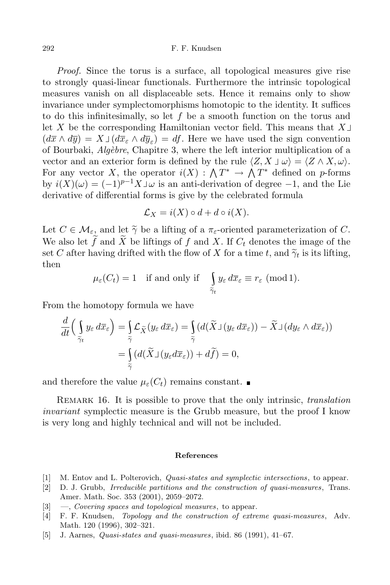292 F. F. Knudsen

Proof. Since the torus is a surface, all topological measures give rise to strongly quasi-linear functionals. Furthermore the intrinsic topological measures vanish on all displaceable sets. Hence it remains only to show invariance under symplectomorphisms homotopic to the identity. It suffices to do this infinitesimally, so let f be a smooth function on the torus and let X be the corresponding Hamiltonian vector field. This means that  $X \cup$  $(d\overline{x} \wedge d\overline{y}) = X \Box (d\overline{x}_{\varepsilon} \wedge d\overline{y}_{\varepsilon}) = df$ . Here we have used the sign convention of Bourbaki,  $Alg\acute{e}bre$ , Chapitre 3, where the left interior multiplication of a vector and an exterior form is defined by the rule  $\langle Z, X \perp \omega \rangle = \langle Z \wedge X, \omega \rangle$ . For any vector X, the operator  $i(X) : \bigwedge T^* \to \bigwedge T^*$  defined on p-forms by  $i(X)(\omega) = (-1)^{p-1} X \mathsf{J} \omega$  is an anti-derivation of degree -1, and the Lie derivative of differential forms is give by the celebrated formula

$$
\mathcal{L}_X = i(X) \circ d + d \circ i(X).
$$

Let  $C \in \mathcal{M}_{\varepsilon}$ , and let  $\tilde{\gamma}$  be a lifting of a  $\pi_{\varepsilon}$ -oriented parameterization of C. We also let  $\widetilde{f}$  and  $\widetilde{X}$  be liftings of f and X. If  $C_t$  denotes the image of the set C after having drifted with the flow of X for a time t, and  $\widetilde{\gamma}_t$  is its lifting, then

$$
\mu_{\varepsilon}(C_t) = 1
$$
 if and only if  $\int_{\tilde{\gamma}_t} y_{\varepsilon} d\overline{x}_{\varepsilon} \equiv r_{\varepsilon} \pmod{1}.$ 

From the homotopy formula we have

$$
\frac{d}{dt}\Big(\int_{\widetilde{\gamma}_t} y_{\varepsilon} d\overline{x}_{\varepsilon}\Big) = \int_{\widetilde{\gamma}} \mathcal{L}_{\widetilde{X}}(y_{\varepsilon} d\overline{x}_{\varepsilon}) = \int_{\widetilde{\gamma}} (d(\widetilde{X}\mathbf{1}(y_{\varepsilon} d\overline{x}_{\varepsilon})) - \widetilde{X}\mathbf{1}(dy_{\varepsilon} \wedge d\overline{x}_{\varepsilon}))
$$
\n
$$
= \int_{\widetilde{\gamma}} (d(\widetilde{X}\mathbf{1}(y_{\varepsilon} d\overline{x}_{\varepsilon})) + d\widetilde{f}) = 0,
$$

and therefore the value  $\mu_{\varepsilon}(C_t)$  remains constant.

REMARK 16. It is possible to prove that the only intrinsic, *translation* invariant symplectic measure is the Grubb measure, but the proof I know is very long and highly technical and will not be included.

## References

- [1] M. Entov and L. Polterovich, Quasi-states and symplectic intersections, to appear.
- [2] D. J. Grubb, Irreducible partitions and the construction of quasi-measures, Trans. Amer. Math. Soc. 353 (2001), 2059–2072.
- $[3] \quad -$ , Covering spaces and topological measures, to appear.
- [4] F. F. Knudsen, Topology and the construction of extreme quasi-measures, Adv. Math. 120 (1996), 302–321.
- [5] J. Aarnes, Quasi-states and quasi-measures, ibid. 86 (1991), 41–67.